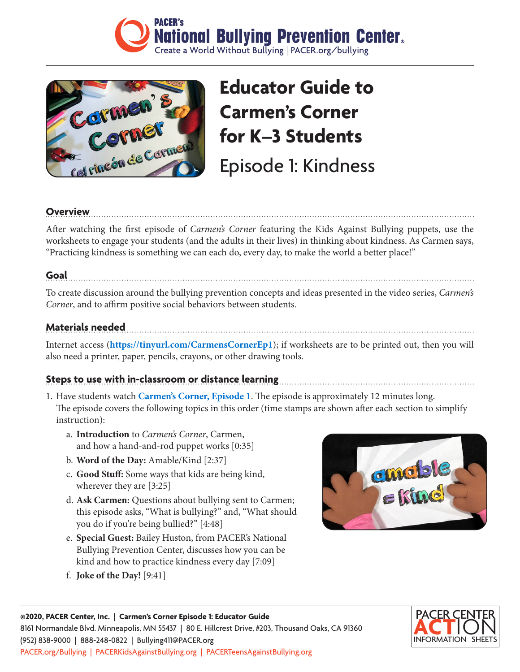



# **Educator Guide to Carmen's Corner for K–3 Students**

Episode 1: Kindness

#### **Overview**

After watching the first episode of *Carmen's Corner* featuring the Kids Against Bullying puppets, use the worksheets to engage your students (and the adults in their lives) in thinking about kindness. As Carmen says, "Practicing kindness is something we can each do, every day, to make the world a better place!"

#### **Goal**

To create discussion around the bullying prevention concepts and ideas presented in the video series, *Carmen's Corner*, and to affirm positive social behaviors between students.

#### **Materials needed**

Internet access (**<https://tinyurl.com/CarmensCornerEp1>**); if worksheets are to be printed out, then you will also need a printer, paper, pencils, crayons, or other drawing tools.

#### **Steps to use with in-classroom or distance learning**

- 1. Have students watch **[Carmen's Corner, Episode 1](https://tinyurl.com/CarmensCornerEp1)**. The episode is approximately 12 minutes long. The episode covers the following topics in this order (time stamps are shown after each section to simplify instruction):
	- a. **Introduction** to *Carmen's Corner*, Carmen, and how a hand-and-rod puppet works [0:35]
	- b. **Word of the Day:** Amable/Kind [2:37]
	- c. **Good Stuff:** Some ways that kids are being kind, wherever they are [3:25]
	- d. **Ask Carmen:** Questions about bullying sent to Carmen; this episode asks, "What is bullying?" and, "What should you do if you're being bullied?" [4:48]
	- e. **Special Guest:** Bailey Huston, from PACER's National Bullying Prevention Center, discusses how you can be kind and how to practice kindness every day [7:09]
	- f. **Joke of the Day!** [9:41]